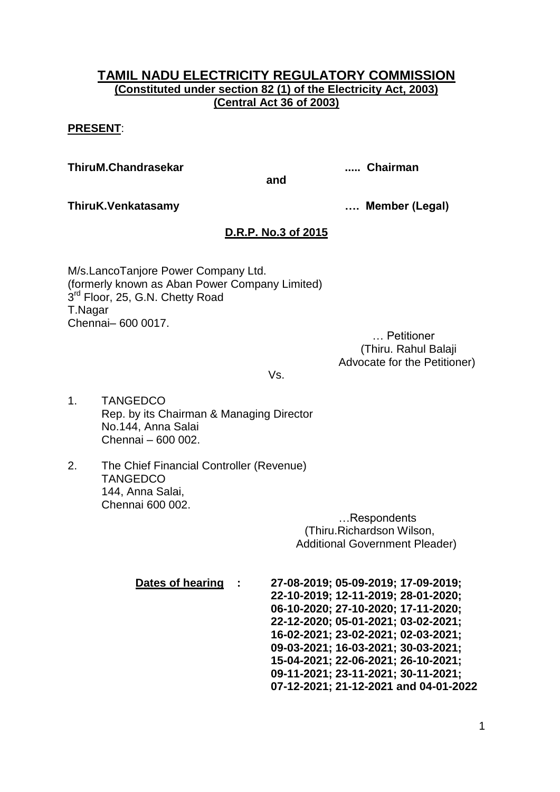# **TAMIL NADU ELECTRICITY REGULATORY COMMISSION (Constituted under section 82 (1) of the Electricity Act, 2003) (Central Act 36 of 2003)**

# **PRESENT**:

**ThiruM.Chandrasekar ..... Chairman**

**and**

**ThiruK.Venkatasamy …. Member (Legal)**

# **D.R.P. No.3 of 2015**

M/s.LancoTanjore Power Company Ltd. (formerly known as Aban Power Company Limited) 3<sup>rd</sup> Floor, 25, G.N. Chetty Road T.Nagar Chennai– 600 0017.

… Petitioner (Thiru. Rahul Balaji Advocate for the Petitioner)

Vs.

- 1. TANGEDCO Rep. by its Chairman & Managing Director No.144, Anna Salai Chennai – 600 002.
- 2. The Chief Financial Controller (Revenue) **TANGEDCO** 144, Anna Salai, Chennai 600 002.

…Respondents (Thiru.Richardson Wilson, Additional Government Pleader)

**Dates of hearing : 27-08-2019; 05-09-2019; 17-09-2019; 22-10-2019; 12-11-2019; 28-01-2020; 06-10-2020; 27-10-2020; 17-11-2020; 22-12-2020; 05-01-2021; 03-02-2021; 16-02-2021; 23-02-2021; 02-03-2021; 09-03-2021; 16-03-2021; 30-03-2021; 15-04-2021; 22-06-2021; 26-10-2021; 09-11-2021; 23-11-2021; 30-11-2021; 07-12-2021; 21-12-2021 and 04-01-2022**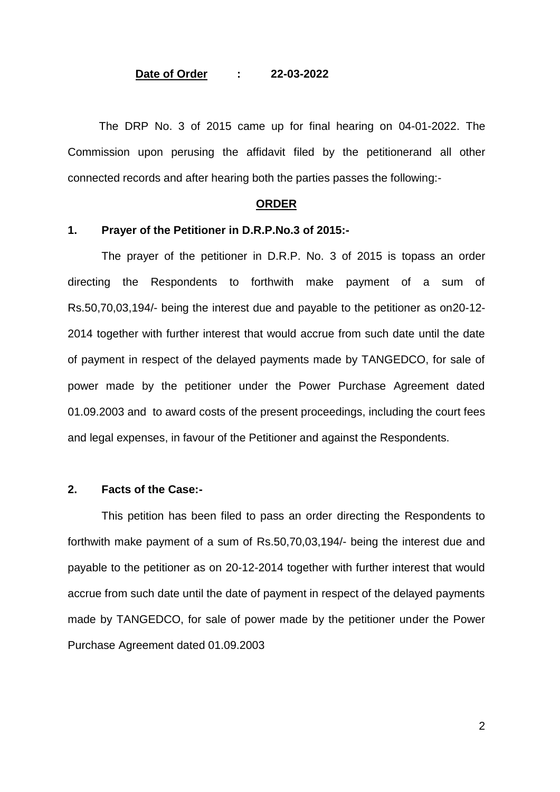#### **Date of Order : 22-03-2022**

 The DRP No. 3 of 2015 came up for final hearing on 04-01-2022. The Commission upon perusing the affidavit filed by the petitionerand all other connected records and after hearing both the parties passes the following:-

### **ORDER**

#### **1. Prayer of the Petitioner in D.R.P.No.3 of 2015:-**

The prayer of the petitioner in D.R.P. No. 3 of 2015 is topass an order directing the Respondents to forthwith make payment of a sum of Rs.50,70,03,194/- being the interest due and payable to the petitioner as on20-12- 2014 together with further interest that would accrue from such date until the date of payment in respect of the delayed payments made by TANGEDCO, for sale of power made by the petitioner under the Power Purchase Agreement dated 01.09.2003 and to award costs of the present proceedings, including the court fees and legal expenses, in favour of the Petitioner and against the Respondents.

## **2. Facts of the Case:-**

This petition has been filed to pass an order directing the Respondents to forthwith make payment of a sum of Rs.50,70,03,194/- being the interest due and payable to the petitioner as on 20-12-2014 together with further interest that would accrue from such date until the date of payment in respect of the delayed payments made by TANGEDCO, for sale of power made by the petitioner under the Power Purchase Agreement dated 01.09.2003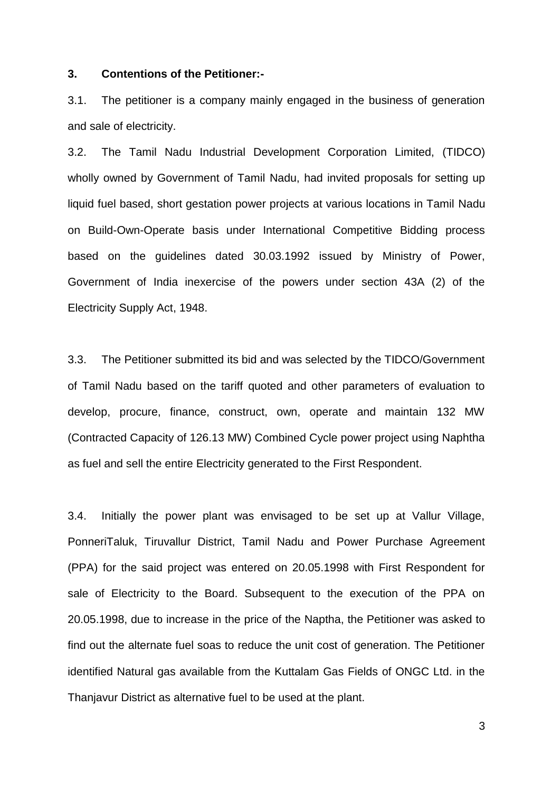#### **3. Contentions of the Petitioner:-**

3.1. The petitioner is a company mainly engaged in the business of generation and sale of electricity.

3.2. The Tamil Nadu Industrial Development Corporation Limited, (TIDCO) wholly owned by Government of Tamil Nadu, had invited proposals for setting up liquid fuel based, short gestation power projects at various locations in Tamil Nadu on Build-Own-Operate basis under International Competitive Bidding process based on the guidelines dated 30.03.1992 issued by Ministry of Power, Government of India inexercise of the powers under section 43A (2) of the Electricity Supply Act, 1948.

3.3. The Petitioner submitted its bid and was selected by the TIDCO/Government of Tamil Nadu based on the tariff quoted and other parameters of evaluation to develop, procure, finance, construct, own, operate and maintain 132 MW (Contracted Capacity of 126.13 MW) Combined Cycle power project using Naphtha as fuel and sell the entire Electricity generated to the First Respondent.

3.4. Initially the power plant was envisaged to be set up at Vallur Village, PonneriTaluk, Tiruvallur District, Tamil Nadu and Power Purchase Agreement (PPA) for the said project was entered on 20.05.1998 with First Respondent for sale of Electricity to the Board. Subsequent to the execution of the PPA on 20.05.1998, due to increase in the price of the Naptha, the Petitioner was asked to find out the alternate fuel soas to reduce the unit cost of generation. The Petitioner identified Natural gas available from the Kuttalam Gas Fields of ONGC Ltd. in the Thanjavur District as alternative fuel to be used at the plant.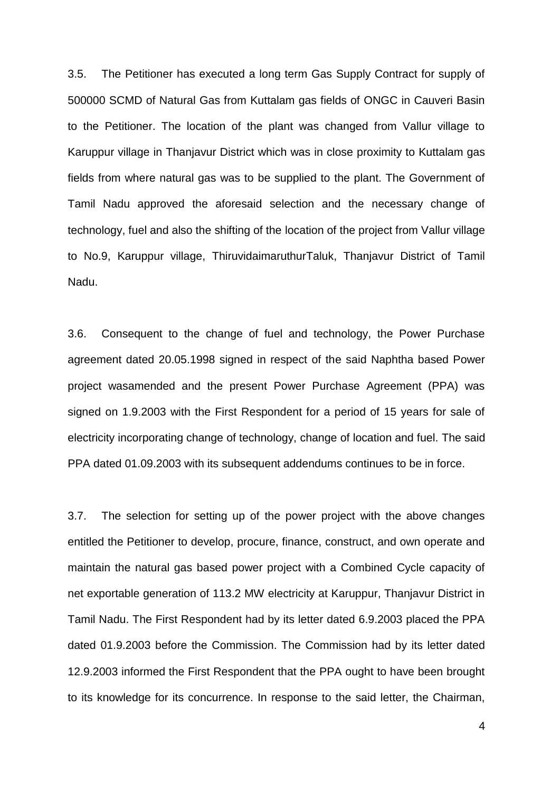3.5. The Petitioner has executed a long term Gas Supply Contract for supply of 500000 SCMD of Natural Gas from Kuttalam gas fields of ONGC in Cauveri Basin to the Petitioner. The location of the plant was changed from Vallur village to Karuppur village in Thanjavur District which was in close proximity to Kuttalam gas fields from where natural gas was to be supplied to the plant. The Government of Tamil Nadu approved the aforesaid selection and the necessary change of technology, fuel and also the shifting of the location of the project from Vallur village to No.9, Karuppur village, ThiruvidaimaruthurTaluk, Thanjavur District of Tamil Nadu.

3.6. Consequent to the change of fuel and technology, the Power Purchase agreement dated 20.05.1998 signed in respect of the said Naphtha based Power project wasamended and the present Power Purchase Agreement (PPA) was signed on 1.9.2003 with the First Respondent for a period of 15 years for sale of electricity incorporating change of technology, change of location and fuel. The said PPA dated 01.09.2003 with its subsequent addendums continues to be in force.

3.7. The selection for setting up of the power project with the above changes entitled the Petitioner to develop, procure, finance, construct, and own operate and maintain the natural gas based power project with a Combined Cycle capacity of net exportable generation of 113.2 MW electricity at Karuppur, Thanjavur District in Tamil Nadu. The First Respondent had by its letter dated 6.9.2003 placed the PPA dated 01.9.2003 before the Commission. The Commission had by its letter dated 12.9.2003 informed the First Respondent that the PPA ought to have been brought to its knowledge for its concurrence. In response to the said letter, the Chairman,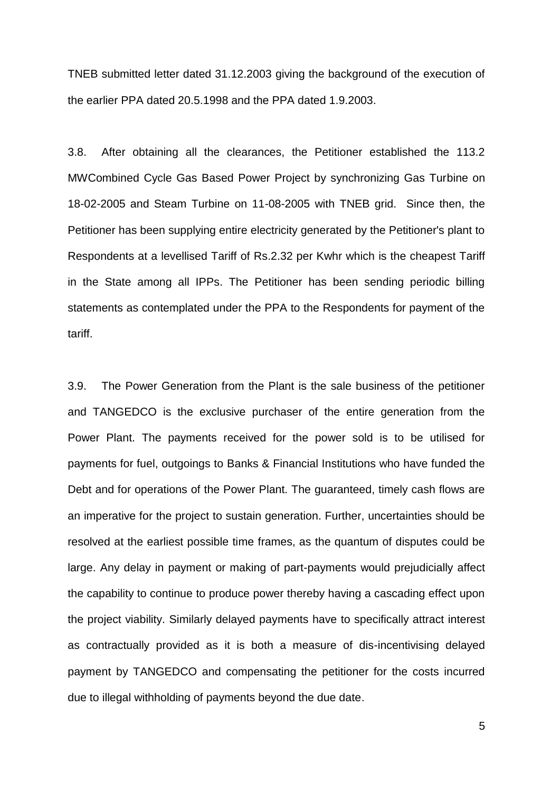TNEB submitted letter dated 31.12.2003 giving the background of the execution of the earlier PPA dated 20.5.1998 and the PPA dated 1.9.2003.

3.8. After obtaining all the clearances, the Petitioner established the 113.2 MWCombined Cycle Gas Based Power Project by synchronizing Gas Turbine on 18-02-2005 and Steam Turbine on 11-08-2005 with TNEB grid. Since then, the Petitioner has been supplying entire electricity generated by the Petitioner's plant to Respondents at a levellised Tariff of Rs.2.32 per Kwhr which is the cheapest Tariff in the State among all IPPs. The Petitioner has been sending periodic billing statements as contemplated under the PPA to the Respondents for payment of the tariff.

3.9. The Power Generation from the Plant is the sale business of the petitioner and TANGEDCO is the exclusive purchaser of the entire generation from the Power Plant. The payments received for the power sold is to be utilised for payments for fuel, outgoings to Banks & Financial Institutions who have funded the Debt and for operations of the Power Plant. The guaranteed, timely cash flows are an imperative for the project to sustain generation. Further, uncertainties should be resolved at the earliest possible time frames, as the quantum of disputes could be large. Any delay in payment or making of part-payments would prejudicially affect the capability to continue to produce power thereby having a cascading effect upon the project viability. Similarly delayed payments have to specifically attract interest as contractually provided as it is both a measure of dis-incentivising delayed payment by TANGEDCO and compensating the petitioner for the costs incurred due to illegal withholding of payments beyond the due date.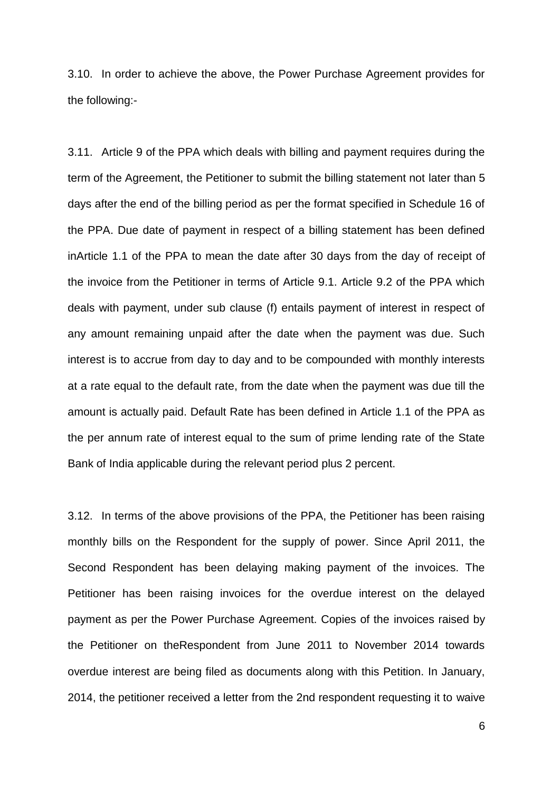3.10. In order to achieve the above, the Power Purchase Agreement provides for the following:-

3.11. Article 9 of the PPA which deals with billing and payment requires during the term of the Agreement, the Petitioner to submit the billing statement not later than 5 days after the end of the billing period as per the format specified in Schedule 16 of the PPA. Due date of payment in respect of a billing statement has been defined inArticle 1.1 of the PPA to mean the date after 30 days from the day of receipt of the invoice from the Petitioner in terms of Article 9.1. Article 9.2 of the PPA which deals with payment, under sub clause (f) entails payment of interest in respect of any amount remaining unpaid after the date when the payment was due. Such interest is to accrue from day to day and to be compounded with monthly interests at a rate equal to the default rate, from the date when the payment was due till the amount is actually paid. Default Rate has been defined in Article 1.1 of the PPA as the per annum rate of interest equal to the sum of prime lending rate of the State Bank of India applicable during the relevant period plus 2 percent.

3.12. In terms of the above provisions of the PPA, the Petitioner has been raising monthly bills on the Respondent for the supply of power. Since April 2011, the Second Respondent has been delaying making payment of the invoices. The Petitioner has been raising invoices for the overdue interest on the delayed payment as per the Power Purchase Agreement. Copies of the invoices raised by the Petitioner on theRespondent from June 2011 to November 2014 towards overdue interest are being filed as documents along with this Petition. In January, 2014, the petitioner received a letter from the 2nd respondent requesting it to waive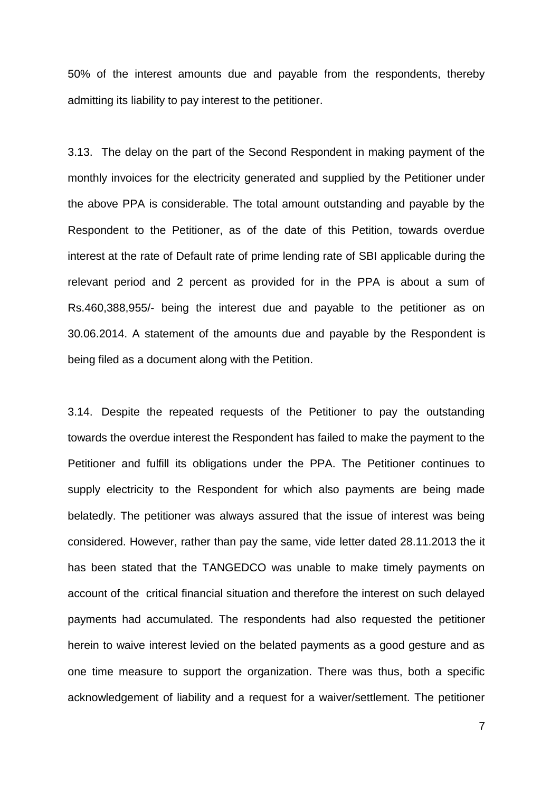50% of the interest amounts due and payable from the respondents, thereby admitting its liability to pay interest to the petitioner.

3.13. The delay on the part of the Second Respondent in making payment of the monthly invoices for the electricity generated and supplied by the Petitioner under the above PPA is considerable. The total amount outstanding and payable by the Respondent to the Petitioner, as of the date of this Petition, towards overdue interest at the rate of Default rate of prime lending rate of SBI applicable during the relevant period and 2 percent as provided for in the PPA is about a sum of Rs.460,388,955/- being the interest due and payable to the petitioner as on 30.06.2014. A statement of the amounts due and payable by the Respondent is being filed as a document along with the Petition.

3.14. Despite the repeated requests of the Petitioner to pay the outstanding towards the overdue interest the Respondent has failed to make the payment to the Petitioner and fulfill its obligations under the PPA. The Petitioner continues to supply electricity to the Respondent for which also payments are being made belatedly. The petitioner was always assured that the issue of interest was being considered. However, rather than pay the same, vide letter dated 28.11.2013 the it has been stated that the TANGEDCO was unable to make timely payments on account of the critical financial situation and therefore the interest on such delayed payments had accumulated. The respondents had also requested the petitioner herein to waive interest levied on the belated payments as a good gesture and as one time measure to support the organization. There was thus, both a specific acknowledgement of liability and a request for a waiver/settlement. The petitioner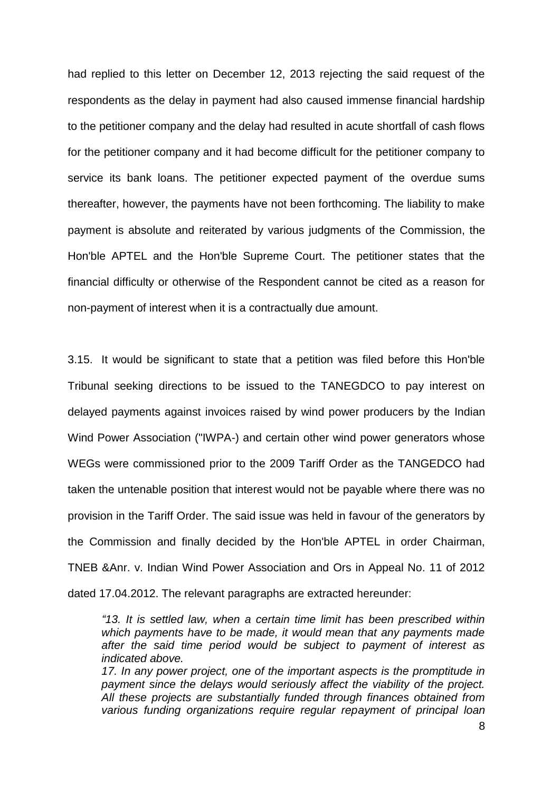had replied to this letter on December 12, 2013 rejecting the said request of the respondents as the delay in payment had also caused immense financial hardship to the petitioner company and the delay had resulted in acute shortfall of cash flows for the petitioner company and it had become difficult for the petitioner company to service its bank loans. The petitioner expected payment of the overdue sums thereafter, however, the payments have not been forthcoming. The liability to make payment is absolute and reiterated by various judgments of the Commission, the Hon'ble APTEL and the Hon'ble Supreme Court. The petitioner states that the financial difficulty or otherwise of the Respondent cannot be cited as a reason for non-payment of interest when it is a contractually due amount.

3.15. It would be significant to state that a petition was filed before this Hon'ble Tribunal seeking directions to be issued to the TANEGDCO to pay interest on delayed payments against invoices raised by wind power producers by the Indian Wind Power Association ("IWPA-) and certain other wind power generators whose WEGs were commissioned prior to the 2009 Tariff Order as the TANGEDCO had taken the untenable position that interest would not be payable where there was no provision in the Tariff Order. The said issue was held in favour of the generators by the Commission and finally decided by the Hon'ble APTEL in order Chairman, TNEB &Anr. v. Indian Wind Power Association and Ors in Appeal No. 11 of 2012 dated 17.04.2012. The relevant paragraphs are extracted hereunder:

*"13. It is settled law, when a certain time limit has been prescribed within which payments have to be made, it would mean that any payments made after the said time period would be subject to payment of interest as indicated above.* 

*17. In any power project, one of the important aspects is the promptitude in payment since the delays would seriously affect the viability of the project. All these projects are substantially funded through finances obtained from various funding organizations require regular repayment of principal loan*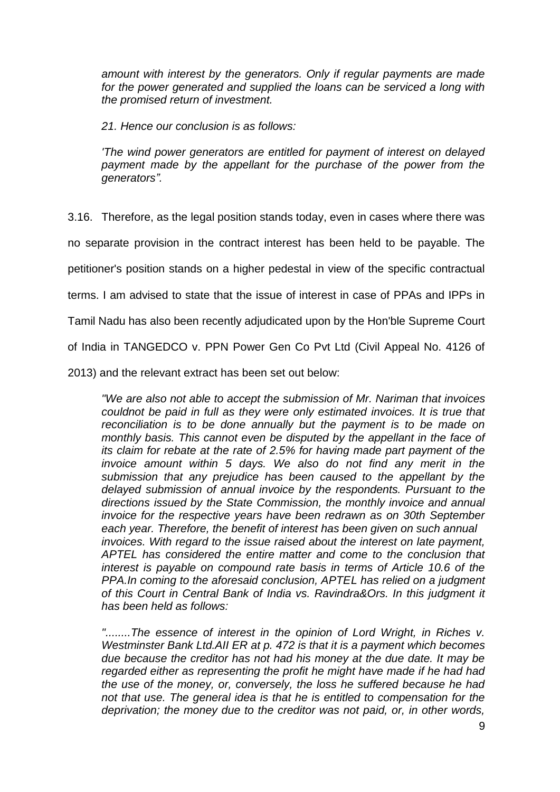*amount with interest by the generators. Only if regular payments are made for the power generated and supplied the loans can be serviced a long with the promised return of investment.* 

*21. Hence our conclusion is as follows:* 

*'The wind power generators are entitled for payment of interest on delayed payment made by the appellant for the purchase of the power from the generators".* 

3.16. Therefore, as the legal position stands today, even in cases where there was no separate provision in the contract interest has been held to be payable. The petitioner's position stands on a higher pedestal in view of the specific contractual terms. I am advised to state that the issue of interest in case of PPAs and IPPs in Tamil Nadu has also been recently adjudicated upon by the Hon'ble Supreme Court of India in TANGEDCO v. PPN Power Gen Co Pvt Ltd (Civil Appeal No. 4126 of 2013) and the relevant extract has been set out below:

*"We are also not able to accept the submission of Mr. Nariman that invoices couldnot be paid in full as they were only estimated invoices. It is true that reconciliation is to be done annually but the payment is to be made on monthly basis. This cannot even be disputed by the appellant in the face of its claim for rebate at the rate of 2.5% for having made part payment of the invoice amount within 5 days. We also do not find any merit in the submission that any prejudice has been caused to the appellant by the delayed submission of annual invoice by the respondents. Pursuant to the directions issued by the State Commission, the monthly invoice and annual invoice for the respective years have been redrawn as on 30th September each year. Therefore, the benefit of interest has been given on such annual invoices. With regard to the issue raised about the interest on late payment, APTEL has considered the entire matter and come to the conclusion that interest is payable on compound rate basis in terms of Article 10.6 of the PPA.In coming to the aforesaid conclusion, APTEL has relied on a judgment of this Court in Central Bank of India vs. Ravindra&Ors. In this judgment it has been held as follows:* 

"........The essence of interest in the opinion of Lord Wright, in Riches v. *Westminster Bank Ltd.AII ER at p. 472 is that it is a payment which becomes due because the creditor has not had his money at the due date. It may be*  regarded either as representing the profit he might have made if he had had *the use of the money, or, conversely, the loss he suffered because he had not that use. The general idea is that he is entitled to compensation for the deprivation; the money due to the creditor was not paid, or, in other words,*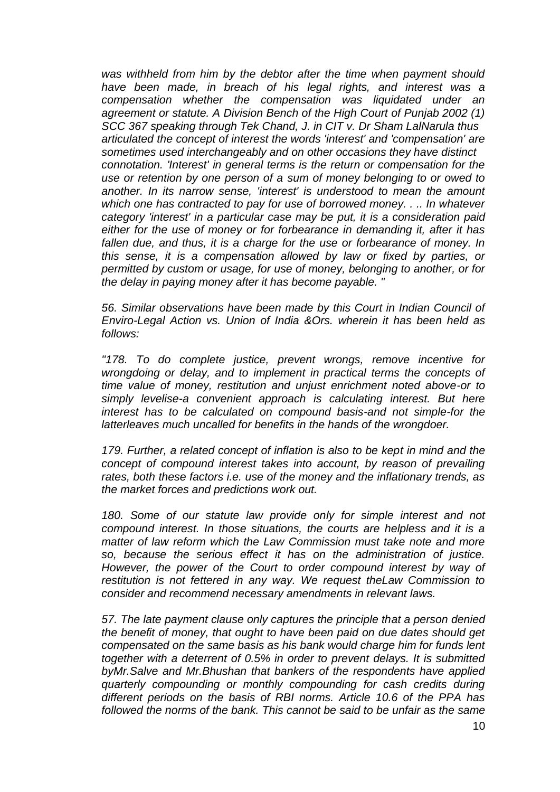*was withheld from him by the debtor after the time when payment should*  have been made, in breach of his legal rights, and interest was a *compensation whether the compensation was liquidated under an agreement or statute. A Division Bench of the High Court of Punjab 2002 (1) SCC 367 speaking through Tek Chand, J. in CIT v. Dr Sham LalNarula thus articulated the concept of interest the words 'interest' and 'compensation' are sometimes used interchangeably and on other occasions they have distinct connotation. 'Interest' in general terms is the return or compensation for the use or retention by one person of a sum of money belonging to or owed to another. In its narrow sense, 'interest' is understood to mean the amount which one has contracted to pay for use of borrowed money. . .. In whatever category 'interest' in a particular case may be put, it is a consideration paid either for the use of money or for forbearance in demanding it, after it has*  fallen due, and thus, it is a charge for the use or forbearance of money. In *this sense, it is a compensation allowed by law or fixed by parties, or permitted by custom or usage, for use of money, belonging to another, or for the delay in paying money after it has become payable. "* 

*56. Similar observations have been made by this Court in Indian Council of Enviro-Legal Action vs. Union of India &Ors. wherein it has been held as follows:* 

*"178. To do complete justice, prevent wrongs, remove incentive for wrongdoing or delay, and to implement in practical terms the concepts of time value of money, restitution and unjust enrichment noted above-or to simply levelise-a convenient approach is calculating interest. But here interest has to be calculated on compound basis-and not simple-for the latterleaves much uncalled for benefits in the hands of the wrongdoer.* 

*179. Further, a related concept of inflation is also to be kept in mind and the concept of compound interest takes into account, by reason of prevailing rates, both these factors i.e. use of the money and the inflationary trends, as the market forces and predictions work out.* 

*180. Some of our statute law provide only for simple interest and not compound interest. In those situations, the courts are helpless and it is a matter of law reform which the Law Commission must take note and more so, because the serious effect it has on the administration of justice. However, the power of the Court to order compound interest by way of restitution is not fettered in any way. We request theLaw Commission to consider and recommend necessary amendments in relevant laws.* 

*57. The late payment clause only captures the principle that a person denied the benefit of money, that ought to have been paid on due dates should get compensated on the same basis as his bank would charge him for funds lent together with a deterrent of 0.5% in order to prevent delays. It is submitted byMr.Salve and Mr.Bhushan that bankers of the respondents have applied quarterly compounding or monthly compounding for cash credits during different periods on the basis of RBI norms. Article 10.6 of the PPA has*  followed the norms of the bank. This cannot be said to be unfair as the same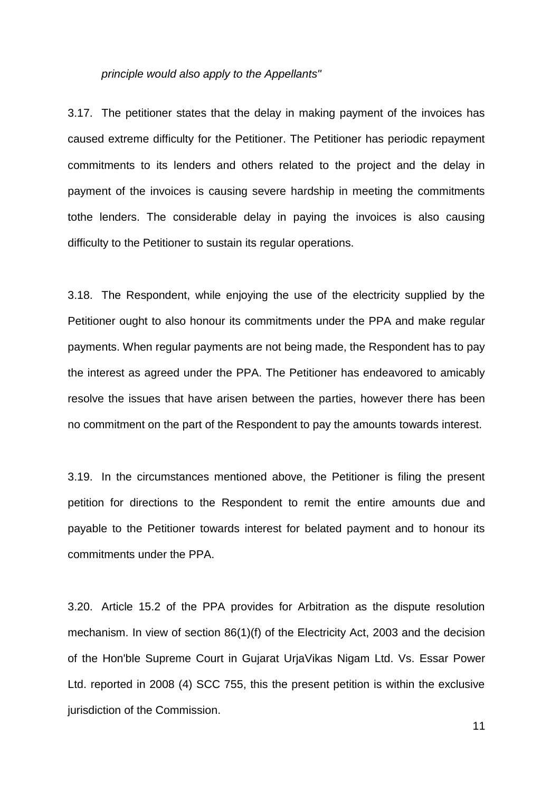#### *principle would also apply to the Appellants"*

3.17. The petitioner states that the delay in making payment of the invoices has caused extreme difficulty for the Petitioner. The Petitioner has periodic repayment commitments to its lenders and others related to the project and the delay in payment of the invoices is causing severe hardship in meeting the commitments tothe lenders. The considerable delay in paying the invoices is also causing difficulty to the Petitioner to sustain its regular operations.

3.18. The Respondent, while enjoying the use of the electricity supplied by the Petitioner ought to also honour its commitments under the PPA and make regular payments. When regular payments are not being made, the Respondent has to pay the interest as agreed under the PPA. The Petitioner has endeavored to amicably resolve the issues that have arisen between the parties, however there has been no commitment on the part of the Respondent to pay the amounts towards interest.

3.19. In the circumstances mentioned above, the Petitioner is filing the present petition for directions to the Respondent to remit the entire amounts due and payable to the Petitioner towards interest for belated payment and to honour its commitments under the PPA.

3.20. Article 15.2 of the PPA provides for Arbitration as the dispute resolution mechanism. In view of section 86(1)(f) of the Electricity Act, 2003 and the decision of the Hon'ble Supreme Court in Gujarat UrjaVikas Nigam Ltd. Vs. Essar Power Ltd. reported in 2008 (4) SCC 755, this the present petition is within the exclusive jurisdiction of the Commission.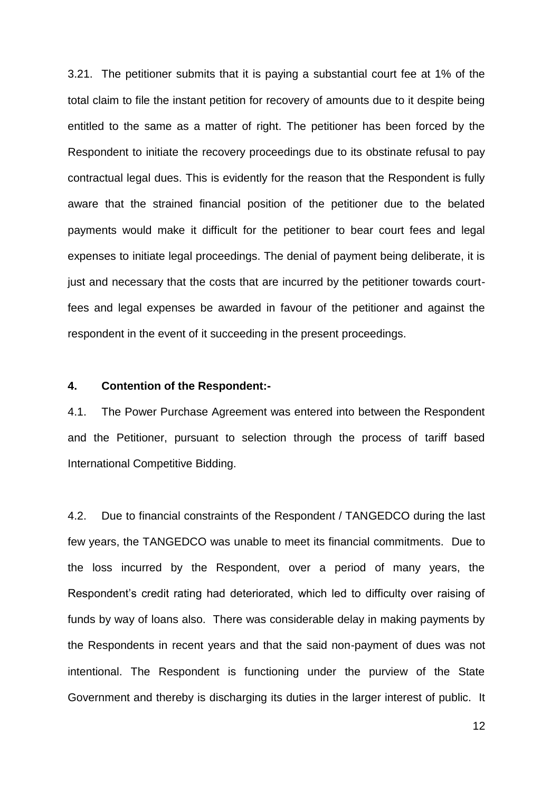3.21. The petitioner submits that it is paying a substantial court fee at 1% of the total claim to file the instant petition for recovery of amounts due to it despite being entitled to the same as a matter of right. The petitioner has been forced by the Respondent to initiate the recovery proceedings due to its obstinate refusal to pay contractual legal dues. This is evidently for the reason that the Respondent is fully aware that the strained financial position of the petitioner due to the belated payments would make it difficult for the petitioner to bear court fees and legal expenses to initiate legal proceedings. The denial of payment being deliberate, it is just and necessary that the costs that are incurred by the petitioner towards courtfees and legal expenses be awarded in favour of the petitioner and against the respondent in the event of it succeeding in the present proceedings.

## **4. Contention of the Respondent:-**

4.1. The Power Purchase Agreement was entered into between the Respondent and the Petitioner, pursuant to selection through the process of tariff based International Competitive Bidding.

4.2. Due to financial constraints of the Respondent / TANGEDCO during the last few years, the TANGEDCO was unable to meet its financial commitments. Due to the loss incurred by the Respondent, over a period of many years, the Respondent's credit rating had deteriorated, which led to difficulty over raising of funds by way of loans also. There was considerable delay in making payments by the Respondents in recent years and that the said non-payment of dues was not intentional. The Respondent is functioning under the purview of the State Government and thereby is discharging its duties in the larger interest of public. It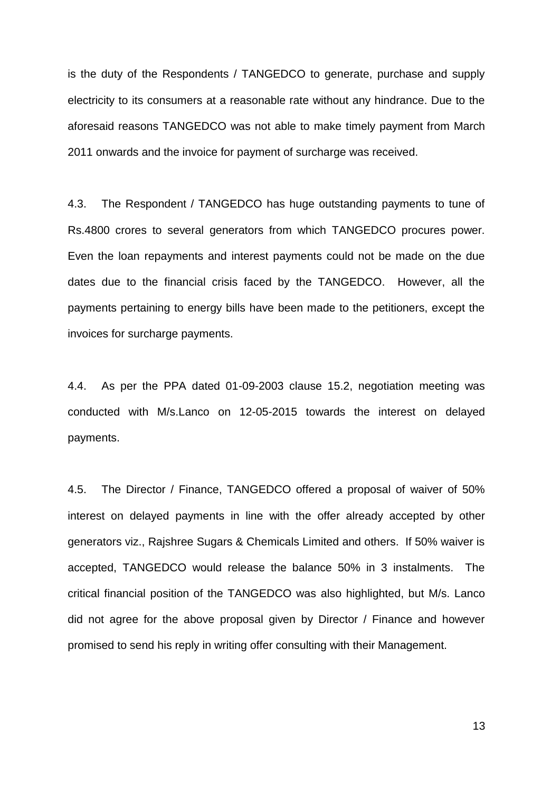is the duty of the Respondents / TANGEDCO to generate, purchase and supply electricity to its consumers at a reasonable rate without any hindrance. Due to the aforesaid reasons TANGEDCO was not able to make timely payment from March 2011 onwards and the invoice for payment of surcharge was received.

4.3. The Respondent / TANGEDCO has huge outstanding payments to tune of Rs.4800 crores to several generators from which TANGEDCO procures power. Even the loan repayments and interest payments could not be made on the due dates due to the financial crisis faced by the TANGEDCO. However, all the payments pertaining to energy bills have been made to the petitioners, except the invoices for surcharge payments.

4.4. As per the PPA dated 01-09-2003 clause 15.2, negotiation meeting was conducted with M/s.Lanco on 12-05-2015 towards the interest on delayed payments.

4.5. The Director / Finance, TANGEDCO offered a proposal of waiver of 50% interest on delayed payments in line with the offer already accepted by other generators viz., Rajshree Sugars & Chemicals Limited and others. If 50% waiver is accepted, TANGEDCO would release the balance 50% in 3 instalments. The critical financial position of the TANGEDCO was also highlighted, but M/s. Lanco did not agree for the above proposal given by Director / Finance and however promised to send his reply in writing offer consulting with their Management.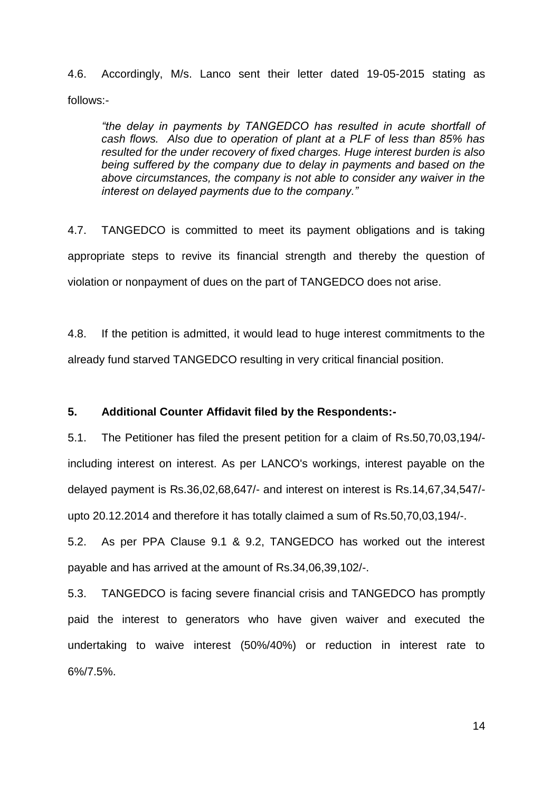4.6. Accordingly, M/s. Lanco sent their letter dated 19-05-2015 stating as follows:-

*"the delay in payments by TANGEDCO has resulted in acute shortfall of cash flows. Also due to operation of plant at a PLF of less than 85% has resulted for the under recovery of fixed charges. Huge interest burden is also being suffered by the company due to delay in payments and based on the above circumstances, the company is not able to consider any waiver in the interest on delayed payments due to the company."*

4.7. TANGEDCO is committed to meet its payment obligations and is taking appropriate steps to revive its financial strength and thereby the question of violation or nonpayment of dues on the part of TANGEDCO does not arise.

4.8. If the petition is admitted, it would lead to huge interest commitments to the already fund starved TANGEDCO resulting in very critical financial position.

# **5. Additional Counter Affidavit filed by the Respondents:-**

5.1. The Petitioner has filed the present petition for a claim of Rs.50,70,03,194/ including interest on interest. As per LANCO's workings, interest payable on the delayed payment is Rs.36,02,68,647/- and interest on interest is Rs.14,67,34,547/ upto 20.12.2014 and therefore it has totally claimed a sum of Rs.50,70,03,194/-.

5.2. As per PPA Clause 9.1 & 9.2, TANGEDCO has worked out the interest payable and has arrived at the amount of Rs.34,06,39,102/-.

5.3. TANGEDCO is facing severe financial crisis and TANGEDCO has promptly paid the interest to generators who have given waiver and executed the undertaking to waive interest (50%/40%) or reduction in interest rate to 6%/7.5%.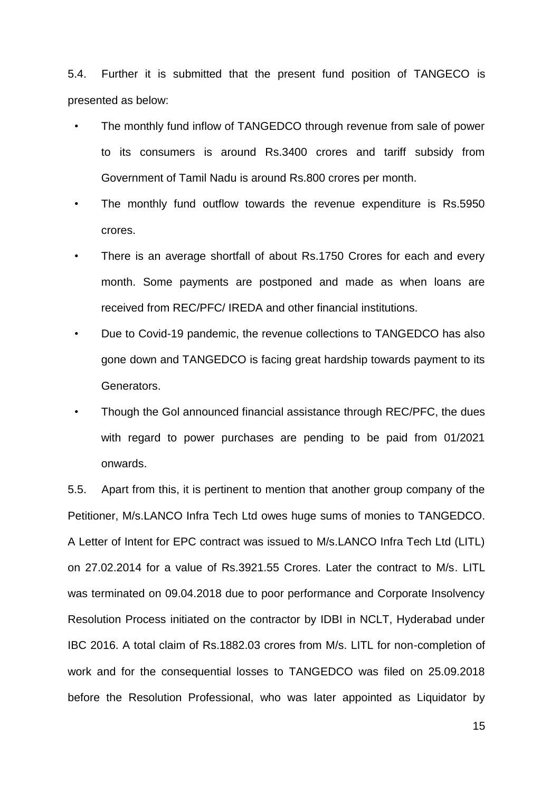5.4. Further it is submitted that the present fund position of TANGECO is presented as below:

- The monthly fund inflow of TANGEDCO through revenue from sale of power to its consumers is around Rs.3400 crores and tariff subsidy from Government of Tamil Nadu is around Rs.800 crores per month.
- The monthly fund outflow towards the revenue expenditure is Rs.5950 crores.
- There is an average shortfall of about Rs.1750 Crores for each and every month. Some payments are postponed and made as when loans are received from REC/PFC/ IREDA and other financial institutions.
- Due to Covid-19 pandemic, the revenue collections to TANGEDCO has also gone down and TANGEDCO is facing great hardship towards payment to its Generators.
- Though the Gol announced financial assistance through REC/PFC, the dues with regard to power purchases are pending to be paid from 01/2021 onwards.

5.5. Apart from this, it is pertinent to mention that another group company of the Petitioner, M/s.LANCO Infra Tech Ltd owes huge sums of monies to TANGEDCO. A Letter of Intent for EPC contract was issued to M/s.LANCO Infra Tech Ltd (LITL) on 27.02.2014 for a value of Rs.3921.55 Crores. Later the contract to M/s. LITL was terminated on 09.04.2018 due to poor performance and Corporate Insolvency Resolution Process initiated on the contractor by IDBI in NCLT, Hyderabad under IBC 2016. A total claim of Rs.1882.03 crores from M/s. LITL for non-completion of work and for the consequential losses to TANGEDCO was filed on 25.09.2018 before the Resolution Professional, who was later appointed as Liquidator by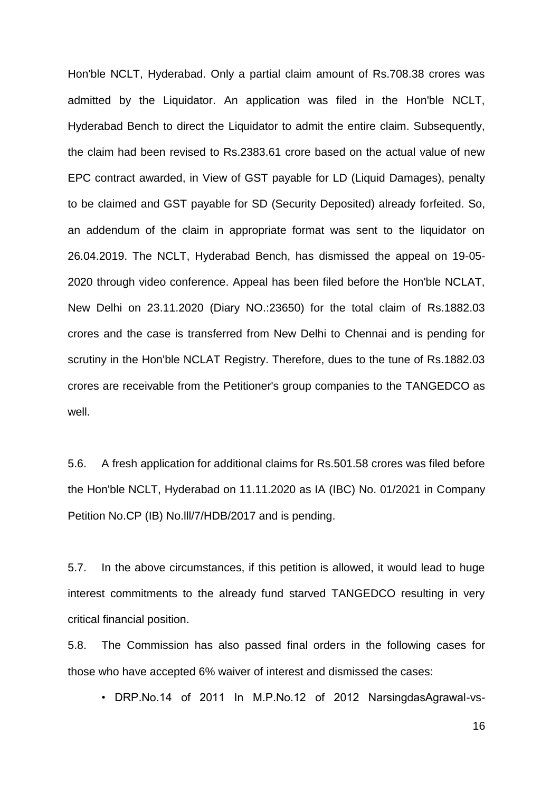Hon'ble NCLT, Hyderabad. Only a partial claim amount of Rs.708.38 crores was admitted by the Liquidator. An application was filed in the Hon'ble NCLT, Hyderabad Bench to direct the Liquidator to admit the entire claim. Subsequently, the claim had been revised to Rs.2383.61 crore based on the actual value of new EPC contract awarded, in View of GST payable for LD (Liquid Damages), penalty to be claimed and GST payable for SD (Security Deposited) already forfeited. So, an addendum of the claim in appropriate format was sent to the liquidator on 26.04.2019. The NCLT, Hyderabad Bench, has dismissed the appeal on 19-05- 2020 through video conference. Appeal has been filed before the Hon'ble NCLAT, New Delhi on 23.11.2020 (Diary NO.:23650) for the total claim of Rs.1882.03 crores and the case is transferred from New Delhi to Chennai and is pending for scrutiny in the Hon'ble NCLAT Registry. Therefore, dues to the tune of Rs.1882.03 crores are receivable from the Petitioner's group companies to the TANGEDCO as well.

5.6. A fresh application for additional claims for Rs.501.58 crores was filed before the Hon'ble NCLT, Hyderabad on 11.11.2020 as IA (IBC) No. 01/2021 in Company Petition No.CP (IB) No.lll/7/HDB/2017 and is pending.

5.7. In the above circumstances, if this petition is allowed, it would lead to huge interest commitments to the already fund starved TANGEDCO resulting in very critical financial position.

5.8. The Commission has also passed final orders in the following cases for those who have accepted 6% waiver of interest and dismissed the cases:

• DRP.No.14 of 2011 In M.P.No.12 of 2012 NarsingdasAgrawal-vs-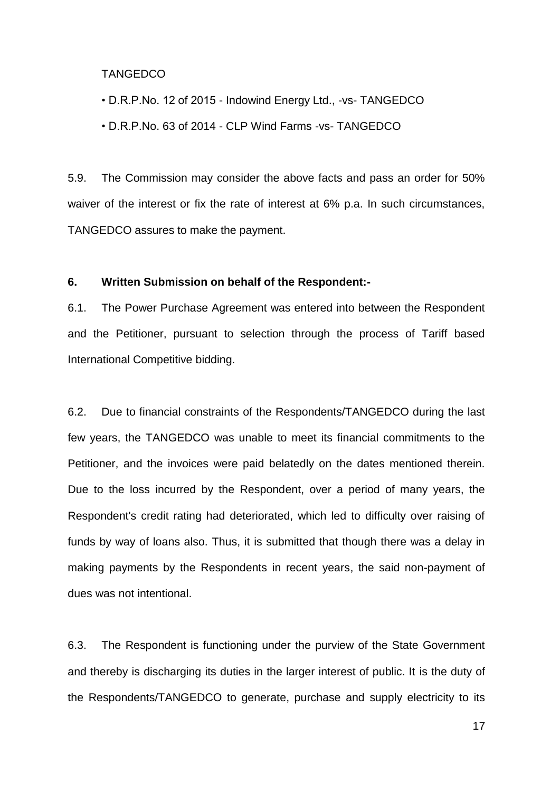**TANGEDCO** 

• D.R.P.No. 12 of 2015 - Indowind Energy Ltd., -vs- TANGEDCO

• D.R.P.No. 63 of 2014 - CLP Wind Farms -vs- TANGEDCO

5.9. The Commission may consider the above facts and pass an order for 50% waiver of the interest or fix the rate of interest at 6% p.a. In such circumstances, TANGEDCO assures to make the payment.

#### **6. Written Submission on behalf of the Respondent:-**

6.1. The Power Purchase Agreement was entered into between the Respondent and the Petitioner, pursuant to selection through the process of Tariff based International Competitive bidding.

6.2. Due to financial constraints of the Respondents/TANGEDCO during the last few years, the TANGEDCO was unable to meet its financial commitments to the Petitioner, and the invoices were paid belatedly on the dates mentioned therein. Due to the loss incurred by the Respondent, over a period of many years, the Respondent's credit rating had deteriorated, which led to difficulty over raising of funds by way of loans also. Thus, it is submitted that though there was a delay in making payments by the Respondents in recent years, the said non-payment of dues was not intentional.

6.3. The Respondent is functioning under the purview of the State Government and thereby is discharging its duties in the larger interest of public. It is the duty of the Respondents/TANGEDCO to generate, purchase and supply electricity to its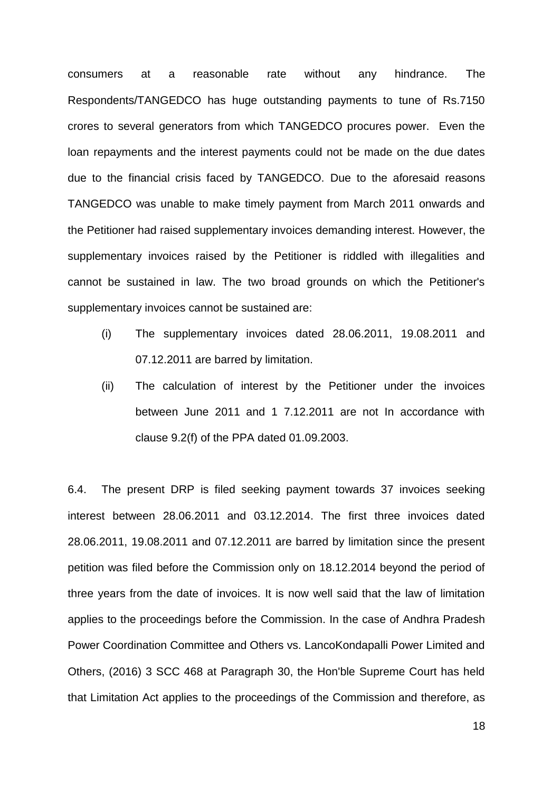consumers at a reasonable rate without any hindrance. The Respondents/TANGEDCO has huge outstanding payments to tune of Rs.7150 crores to several generators from which TANGEDCO procures power. Even the loan repayments and the interest payments could not be made on the due dates due to the financial crisis faced by TANGEDCO. Due to the aforesaid reasons TANGEDCO was unable to make timely payment from March 2011 onwards and the Petitioner had raised supplementary invoices demanding interest. However, the supplementary invoices raised by the Petitioner is riddled with illegalities and cannot be sustained in law. The two broad grounds on which the Petitioner's supplementary invoices cannot be sustained are:

- (i) The supplementary invoices dated 28.06.2011, 19.08.2011 and 07.12.2011 are barred by limitation.
- (ii) The calculation of interest by the Petitioner under the invoices between June 2011 and 1 7.12.2011 are not In accordance with clause 9.2(f) of the PPA dated 01.09.2003.

6.4. The present DRP is filed seeking payment towards 37 invoices seeking interest between 28.06.2011 and 03.12.2014. The first three invoices dated 28.06.2011, 19.08.2011 and 07.12.2011 are barred by limitation since the present petition was filed before the Commission only on 18.12.2014 beyond the period of three years from the date of invoices. It is now well said that the law of limitation applies to the proceedings before the Commission. In the case of Andhra Pradesh Power Coordination Committee and Others vs. LancoKondapalli Power Limited and Others, (2016) 3 SCC 468 at Paragraph 30, the Hon'ble Supreme Court has held that Limitation Act applies to the proceedings of the Commission and therefore, as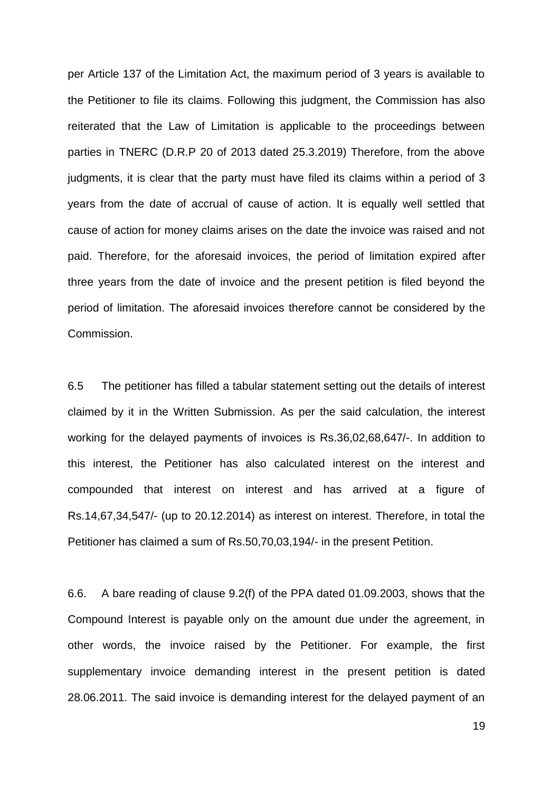per Article 137 of the Limitation Act, the maximum period of 3 years is available to the Petitioner to file its claims. Following this judgment, the Commission has also reiterated that the Law of Limitation is applicable to the proceedings between parties in TNERC (D.R.P 20 of 2013 dated 25.3.2019) Therefore, from the above judgments, it is clear that the party must have filed its claims within a period of 3 years from the date of accrual of cause of action. It is equally well settled that cause of action for money claims arises on the date the invoice was raised and not paid. Therefore, for the aforesaid invoices, the period of limitation expired after three years from the date of invoice and the present petition is filed beyond the period of limitation. The aforesaid invoices therefore cannot be considered by the Commission.

6.5 The petitioner has filled a tabular statement setting out the details of interest claimed by it in the Written Submission. As per the said calculation, the interest working for the delayed payments of invoices is Rs.36,02,68,647/-. In addition to this interest, the Petitioner has also calculated interest on the interest and compounded that interest on interest and has arrived at a figure of Rs.14,67,34,547/- (up to 20.12.2014) as interest on interest. Therefore, in total the Petitioner has claimed a sum of Rs.50,70,03,194/- in the present Petition.

6.6. A bare reading of clause 9.2(f) of the PPA dated 01.09.2003, shows that the Compound Interest is payable only on the amount due under the agreement, in other words, the invoice raised by the Petitioner. For example, the first supplementary invoice demanding interest in the present petition is dated 28.06.2011. The said invoice is demanding interest for the delayed payment of an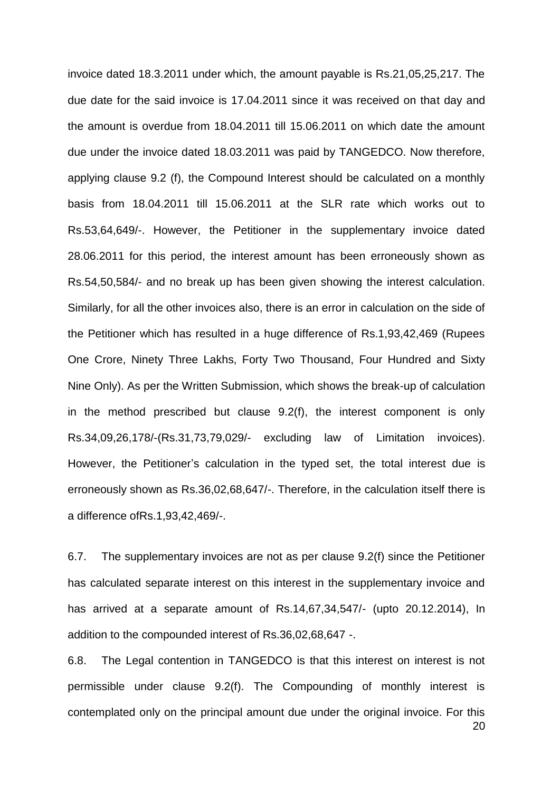invoice dated 18.3.2011 under which, the amount payable is Rs.21,05,25,217. The due date for the said invoice is 17.04.2011 since it was received on that day and the amount is overdue from 18.04.2011 till 15.06.2011 on which date the amount due under the invoice dated 18.03.2011 was paid by TANGEDCO. Now therefore, applying clause 9.2 (f), the Compound Interest should be calculated on a monthly basis from 18.04.2011 till 15.06.2011 at the SLR rate which works out to Rs.53,64,649/-. However, the Petitioner in the supplementary invoice dated 28.06.2011 for this period, the interest amount has been erroneously shown as Rs.54,50,584/- and no break up has been given showing the interest calculation. Similarly, for all the other invoices also, there is an error in calculation on the side of the Petitioner which has resulted in a huge difference of Rs.1,93,42,469 (Rupees One Crore, Ninety Three Lakhs, Forty Two Thousand, Four Hundred and Sixty Nine Only). As per the Written Submission, which shows the break-up of calculation in the method prescribed but clause 9.2(f), the interest component is only Rs.34,09,26,178/-(Rs.31,73,79,029/- excluding law of Limitation invoices). However, the Petitioner's calculation in the typed set, the total interest due is erroneously shown as Rs.36,02,68,647/-. Therefore, in the calculation itself there is a difference ofRs.1,93,42,469/-.

6.7. The supplementary invoices are not as per clause 9.2(f) since the Petitioner has calculated separate interest on this interest in the supplementary invoice and has arrived at a separate amount of Rs.14,67,34,547/- (upto 20.12.2014), In addition to the compounded interest of Rs.36,02,68,647 -.

20 6.8. The Legal contention in TANGEDCO is that this interest on interest is not permissible under clause 9.2(f). The Compounding of monthly interest is contemplated only on the principal amount due under the original invoice. For this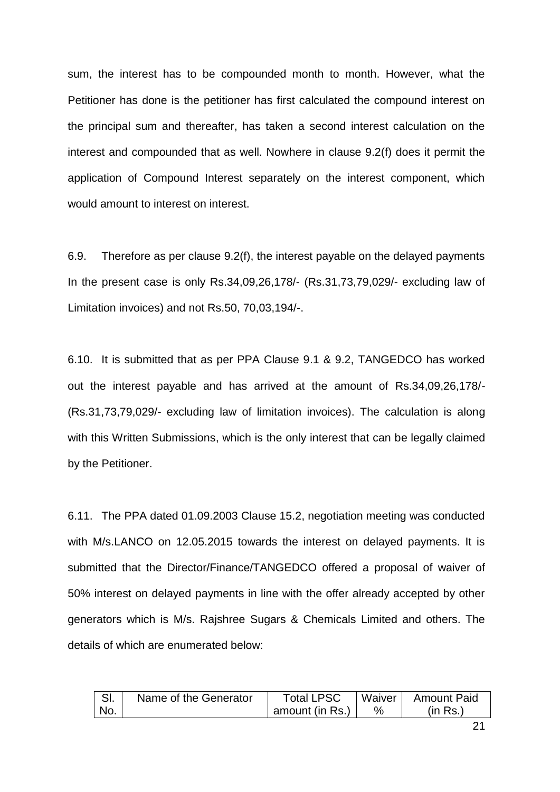sum, the interest has to be compounded month to month. However, what the Petitioner has done is the petitioner has first calculated the compound interest on the principal sum and thereafter, has taken a second interest calculation on the interest and compounded that as well. Nowhere in clause 9.2(f) does it permit the application of Compound Interest separately on the interest component, which would amount to interest on interest.

6.9. Therefore as per clause 9.2(f), the interest payable on the delayed payments In the present case is only Rs.34,09,26,178/- (Rs.31,73,79,029/- excluding law of Limitation invoices) and not Rs.50, 70,03,194/-.

6.10. It is submitted that as per PPA Clause 9.1 & 9.2, TANGEDCO has worked out the interest payable and has arrived at the amount of Rs.34,09,26,178/- (Rs.31,73,79,029/- excluding law of limitation invoices). The calculation is along with this Written Submissions, which is the only interest that can be legally claimed by the Petitioner.

6.11. The PPA dated 01.09.2003 Clause 15.2, negotiation meeting was conducted with M/s.LANCO on 12.05.2015 towards the interest on delayed payments. It is submitted that the Director/Finance/TANGEDCO offered a proposal of waiver of 50% interest on delayed payments in line with the offer already accepted by other generators which is M/s. Rajshree Sugars & Chemicals Limited and others. The details of which are enumerated below:

| SI. | Name of the Generator | <b>Total LPSC</b> | Waiver | <b>Amount Paid</b> |
|-----|-----------------------|-------------------|--------|--------------------|
| No. |                       | amount (in Rs.)   |        | (in Rs.            |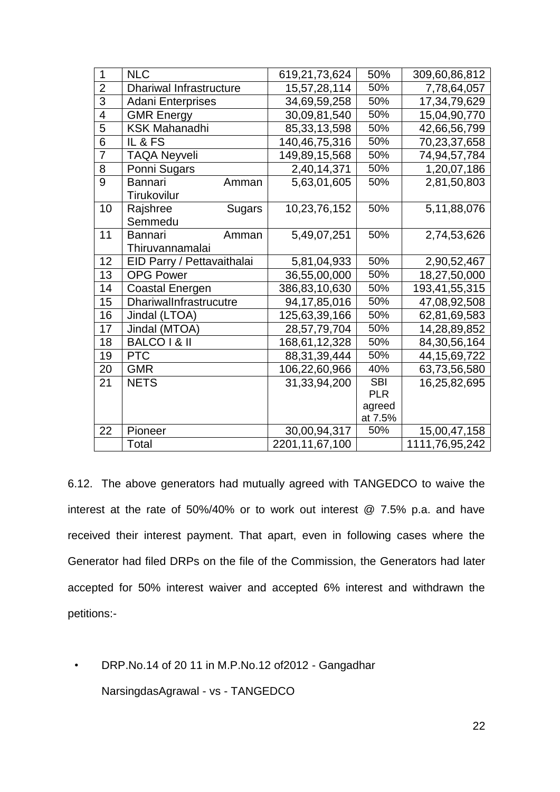| $\mathbf{1}$   | <b>NLC</b>                     | 619,21,73,624     | 50%        | 309,60,86,812   |
|----------------|--------------------------------|-------------------|------------|-----------------|
| $\overline{2}$ | <b>Dhariwal Infrastructure</b> | 15,57,28,114      | 50%        | 7,78,64,057     |
| $\overline{3}$ | <b>Adani Enterprises</b>       | 34,69,59,258      | 50%        | 17,34,79,629    |
| $\overline{4}$ | <b>GMR Energy</b>              | 30,09,81,540      | 50%        | 15,04,90,770    |
| 5              | <b>KSK Mahanadhi</b>           | 85,33,13,598      | 50%        | 42,66,56,799    |
| $\overline{6}$ | IL & FS                        | 140,46,75,316     | 50%        | 70,23,37,658    |
| $\overline{7}$ | <b>TAQA Neyveli</b>            | 149,89,15,568     | 50%        | 74,94,57,784    |
| 8              | Ponni Sugars                   | 2,40,14,371       | 50%        | 1,20,07,186     |
| 9              | Bannari<br>Amman               | 5,63,01,605       | 50%        | 2,81,50,803     |
|                | Tirukovilur                    |                   |            |                 |
| 10             | Rajshree<br>Sugars             | 10,23,76,152      | 50%        | 5,11,88,076     |
|                | Semmedu                        |                   |            |                 |
| 11             | <b>Bannari</b><br>Amman        | 5,49,07,251       | 50%        | 2,74,53,626     |
|                | Thiruvannamalai                |                   |            |                 |
| 12             | EID Parry / Pettavaithalai     | 5,81,04,933       | 50%        | 2,90,52,467     |
| 13             | <b>OPG Power</b>               | 36,55,00,000      | 50%        | 18,27,50,000    |
| 14             | Coastal Energen                | 386,83,10,630     | 50%        | 193,41,55,315   |
| 15             | DhariwalInfrastrucutre         | 94,17,85,016      | 50%        | 47,08,92,508    |
| 16             | Jindal (LTOA)                  | 125,63,39,166     | 50%        | 62,81,69,583    |
| 17             | Jindal (MTOA)                  | 28,57,79,704      | 50%        | 14,28,89,852    |
| 18             | <b>BALCO I &amp; II</b>        | 168,61,12,328     | 50%        | 84, 30, 56, 164 |
| 19             | <b>PTC</b>                     | 88, 31, 39, 444   | 50%        | 44, 15, 69, 722 |
| 20             | <b>GMR</b>                     | 106,22,60,966     | 40%        | 63,73,56,580    |
| 21             | <b>NETS</b>                    | 31,33,94,200      | <b>SBI</b> | 16,25,82,695    |
|                |                                |                   | <b>PLR</b> |                 |
|                |                                |                   | agreed     |                 |
|                |                                |                   | at 7.5%    |                 |
| 22             | Pioneer                        | 30,00,94,317      | 50%        | 15,00,47,158    |
|                | Total                          | 2201, 11, 67, 100 |            | 1111,76,95,242  |

6.12. The above generators had mutually agreed with TANGEDCO to waive the interest at the rate of 50%/40% or to work out interest @ 7.5% p.a. and have received their interest payment. That apart, even in following cases where the Generator had filed DRPs on the file of the Commission, the Generators had later accepted for 50% interest waiver and accepted 6% interest and withdrawn the petitions:-

• DRP.No.14 of 20 11 in M.P.No.12 of2012 - Gangadhar NarsingdasAgrawal - vs - TANGEDCO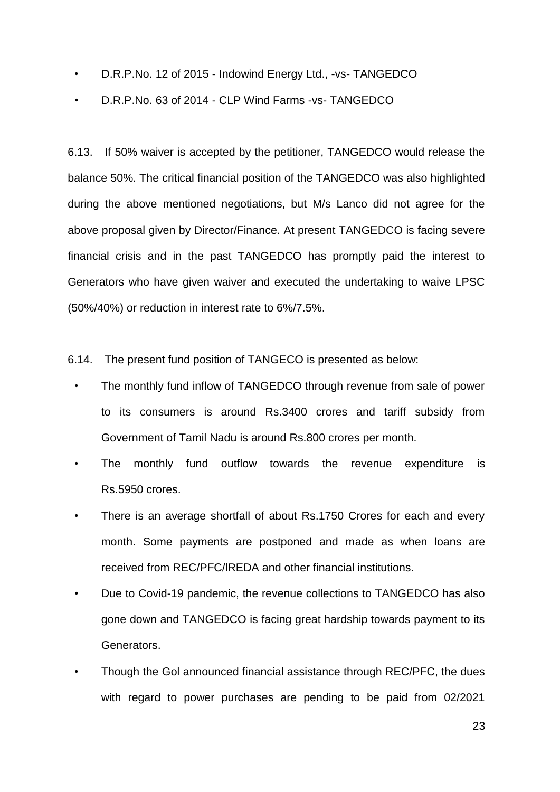- D.R.P.No. 12 of 2015 Indowind Energy Ltd., -vs- TANGEDCO
- D.R.P.No. 63 of 2014 CLP Wind Farms -vs- TANGEDCO

6.13. If 50% waiver is accepted by the petitioner, TANGEDCO would release the balance 50%. The critical financial position of the TANGEDCO was also highlighted during the above mentioned negotiations, but M/s Lanco did not agree for the above proposal given by Director/Finance. At present TANGEDCO is facing severe financial crisis and in the past TANGEDCO has promptly paid the interest to Generators who have given waiver and executed the undertaking to waive LPSC (50%/40%) or reduction in interest rate to 6%/7.5%.

6.14. The present fund position of TANGECO is presented as below:

- The monthly fund inflow of TANGEDCO through revenue from sale of power to its consumers is around Rs.3400 crores and tariff subsidy from Government of Tamil Nadu is around Rs.800 crores per month.
- The monthly fund outflow towards the revenue expenditure is Rs.5950 crores.
- There is an average shortfall of about Rs.1750 Crores for each and every month. Some payments are postponed and made as when loans are received from REC/PFC/lREDA and other financial institutions.
- Due to Covid-19 pandemic, the revenue collections to TANGEDCO has also gone down and TANGEDCO is facing great hardship towards payment to its Generators.
- Though the Gol announced financial assistance through REC/PFC, the dues with regard to power purchases are pending to be paid from 02/2021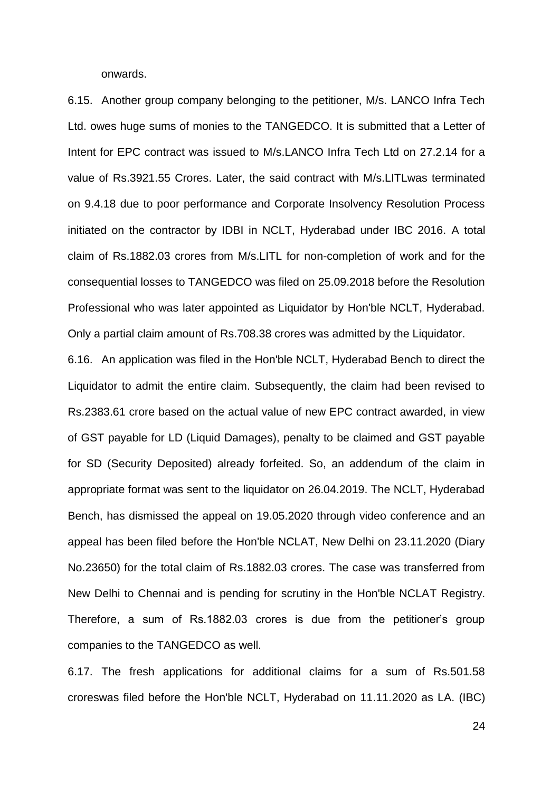onwards.

6.15. Another group company belonging to the petitioner, M/s. LANCO Infra Tech Ltd. owes huge sums of monies to the TANGEDCO. It is submitted that a Letter of Intent for EPC contract was issued to M/s.LANCO Infra Tech Ltd on 27.2.14 for a value of Rs.3921.55 Crores. Later, the said contract with M/s.LITLwas terminated on 9.4.18 due to poor performance and Corporate Insolvency Resolution Process initiated on the contractor by IDBI in NCLT, Hyderabad under IBC 2016. A total claim of Rs.1882.03 crores from M/s.LITL for non-completion of work and for the consequential losses to TANGEDCO was filed on 25.09.2018 before the Resolution Professional who was later appointed as Liquidator by Hon'ble NCLT, Hyderabad. Only a partial claim amount of Rs.708.38 crores was admitted by the Liquidator.

6.16. An application was filed in the Hon'ble NCLT, Hyderabad Bench to direct the Liquidator to admit the entire claim. Subsequently, the claim had been revised to Rs.2383.61 crore based on the actual value of new EPC contract awarded, in view of GST payable for LD (Liquid Damages), penalty to be claimed and GST payable for SD (Security Deposited) already forfeited. So, an addendum of the claim in appropriate format was sent to the liquidator on 26.04.2019. The NCLT, Hyderabad Bench, has dismissed the appeal on 19.05.2020 through video conference and an appeal has been filed before the Hon'ble NCLAT, New Delhi on 23.11.2020 (Diary No.23650) for the total claim of Rs.1882.03 crores. The case was transferred from New Delhi to Chennai and is pending for scrutiny in the Hon'ble NCLAT Registry. Therefore, a sum of Rs.1882.03 crores is due from the petitioner's group companies to the TANGEDCO as well.

6.17. The fresh applications for additional claims for a sum of Rs.501.58 croreswas filed before the Hon'ble NCLT, Hyderabad on 11.11.2020 as LA. (IBC)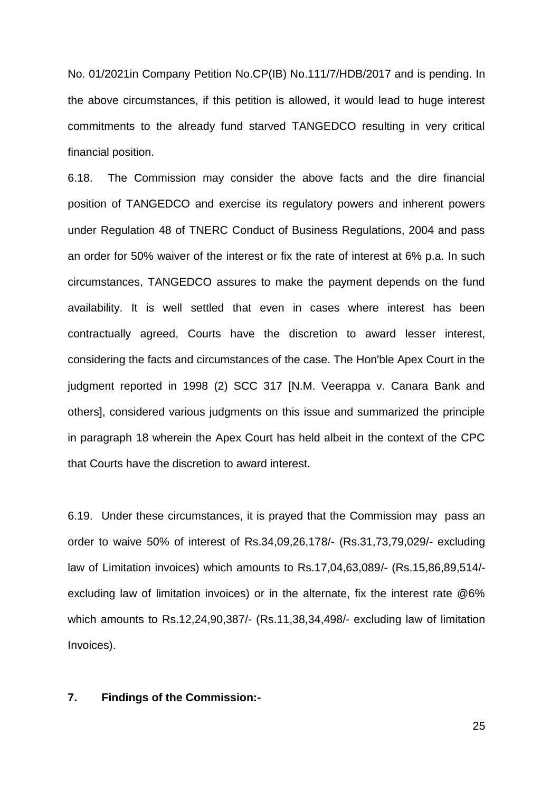No. 01/2021in Company Petition No.CP(IB) No.111/7/HDB/2017 and is pending. In the above circumstances, if this petition is allowed, it would lead to huge interest commitments to the already fund starved TANGEDCO resulting in very critical financial position.

6.18. The Commission may consider the above facts and the dire financial position of TANGEDCO and exercise its regulatory powers and inherent powers under Regulation 48 of TNERC Conduct of Business Regulations, 2004 and pass an order for 50% waiver of the interest or fix the rate of interest at 6% p.a. In such circumstances, TANGEDCO assures to make the payment depends on the fund availability. It is well settled that even in cases where interest has been contractually agreed, Courts have the discretion to award lesser interest, considering the facts and circumstances of the case. The Hon'ble Apex Court in the judgment reported in 1998 (2) SCC 317 [N.M. Veerappa v. Canara Bank and others], considered various judgments on this issue and summarized the principle in paragraph 18 wherein the Apex Court has held albeit in the context of the CPC that Courts have the discretion to award interest.

6.19. Under these circumstances, it is prayed that the Commission may pass an order to waive 50% of interest of Rs.34,09,26,178/- (Rs.31,73,79,029/- excluding law of Limitation invoices) which amounts to Rs.17,04,63,089/- (Rs.15,86,89,514/ excluding law of limitation invoices) or in the alternate, fix the interest rate @6% which amounts to Rs.12,24,90,387/- (Rs.11,38,34,498/- excluding law of limitation Invoices).

## **7. Findings of the Commission:-**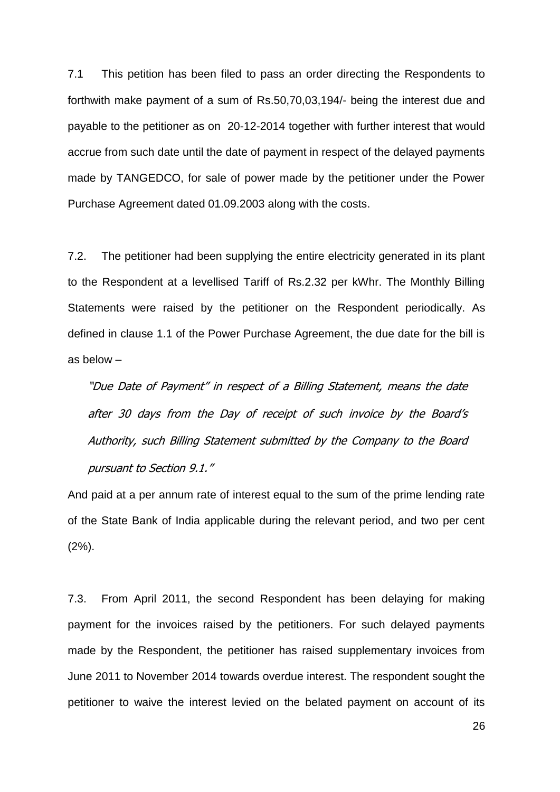7.1 This petition has been filed to pass an order directing the Respondents to forthwith make payment of a sum of Rs.50,70,03,194/- being the interest due and payable to the petitioner as on 20-12-2014 together with further interest that would accrue from such date until the date of payment in respect of the delayed payments made by TANGEDCO, for sale of power made by the petitioner under the Power Purchase Agreement dated 01.09.2003 along with the costs.

7.2. The petitioner had been supplying the entire electricity generated in its plant to the Respondent at a levellised Tariff of Rs.2.32 per kWhr. The Monthly Billing Statements were raised by the petitioner on the Respondent periodically. As defined in clause 1.1 of the Power Purchase Agreement, the due date for the bill is as below –

"Due Date of Payment" in respect of a Billing Statement, means the date after 30 days from the Day of receipt of such invoice by the Board's Authority, such Billing Statement submitted by the Company to the Board pursuant to Section 9.1."

And paid at a per annum rate of interest equal to the sum of the prime lending rate of the State Bank of India applicable during the relevant period, and two per cent (2%).

7.3. From April 2011, the second Respondent has been delaying for making payment for the invoices raised by the petitioners. For such delayed payments made by the Respondent, the petitioner has raised supplementary invoices from June 2011 to November 2014 towards overdue interest. The respondent sought the petitioner to waive the interest levied on the belated payment on account of its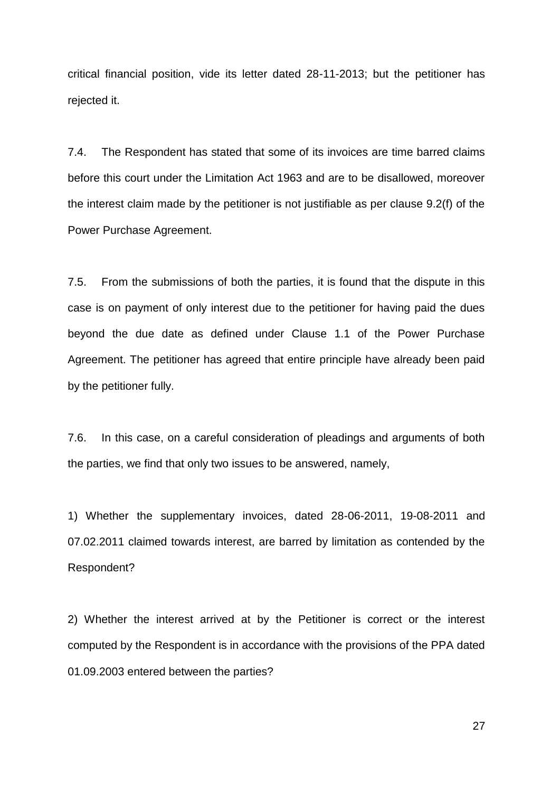critical financial position, vide its letter dated 28-11-2013; but the petitioner has rejected it.

7.4. The Respondent has stated that some of its invoices are time barred claims before this court under the Limitation Act 1963 and are to be disallowed, moreover the interest claim made by the petitioner is not justifiable as per clause 9.2(f) of the Power Purchase Agreement.

7.5. From the submissions of both the parties, it is found that the dispute in this case is on payment of only interest due to the petitioner for having paid the dues beyond the due date as defined under Clause 1.1 of the Power Purchase Agreement. The petitioner has agreed that entire principle have already been paid by the petitioner fully.

7.6. In this case, on a careful consideration of pleadings and arguments of both the parties, we find that only two issues to be answered, namely,

1) Whether the supplementary invoices, dated 28-06-2011, 19-08-2011 and 07.02.2011 claimed towards interest, are barred by limitation as contended by the Respondent?

2) Whether the interest arrived at by the Petitioner is correct or the interest computed by the Respondent is in accordance with the provisions of the PPA dated 01.09.2003 entered between the parties?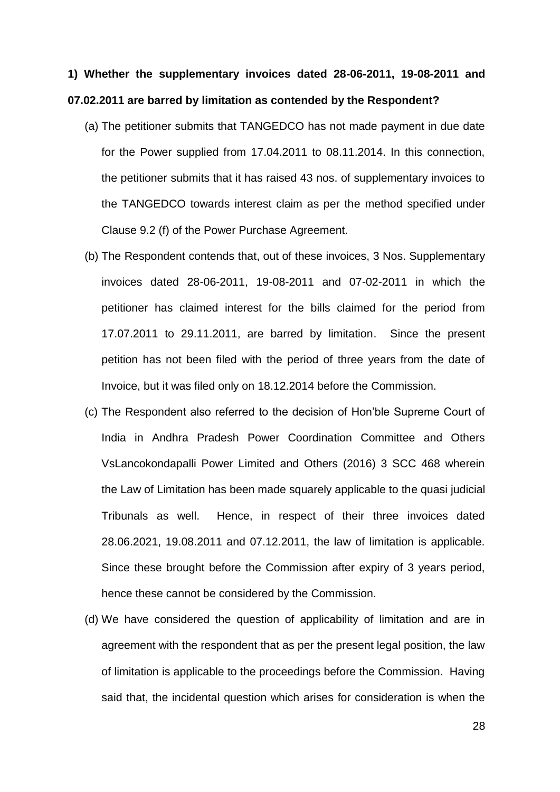# **1) Whether the supplementary invoices dated 28-06-2011, 19-08-2011 and 07.02.2011 are barred by limitation as contended by the Respondent?**

- (a) The petitioner submits that TANGEDCO has not made payment in due date for the Power supplied from 17.04.2011 to 08.11.2014. In this connection, the petitioner submits that it has raised 43 nos. of supplementary invoices to the TANGEDCO towards interest claim as per the method specified under Clause 9.2 (f) of the Power Purchase Agreement.
- (b) The Respondent contends that, out of these invoices, 3 Nos. Supplementary invoices dated 28-06-2011, 19-08-2011 and 07-02-2011 in which the petitioner has claimed interest for the bills claimed for the period from 17.07.2011 to 29.11.2011, are barred by limitation. Since the present petition has not been filed with the period of three years from the date of Invoice, but it was filed only on 18.12.2014 before the Commission.
- (c) The Respondent also referred to the decision of Hon'ble Supreme Court of India in Andhra Pradesh Power Coordination Committee and Others VsLancokondapalli Power Limited and Others (2016) 3 SCC 468 wherein the Law of Limitation has been made squarely applicable to the quasi judicial Tribunals as well. Hence, in respect of their three invoices dated 28.06.2021, 19.08.2011 and 07.12.2011, the law of limitation is applicable. Since these brought before the Commission after expiry of 3 years period, hence these cannot be considered by the Commission.
- (d) We have considered the question of applicability of limitation and are in agreement with the respondent that as per the present legal position, the law of limitation is applicable to the proceedings before the Commission. Having said that, the incidental question which arises for consideration is when the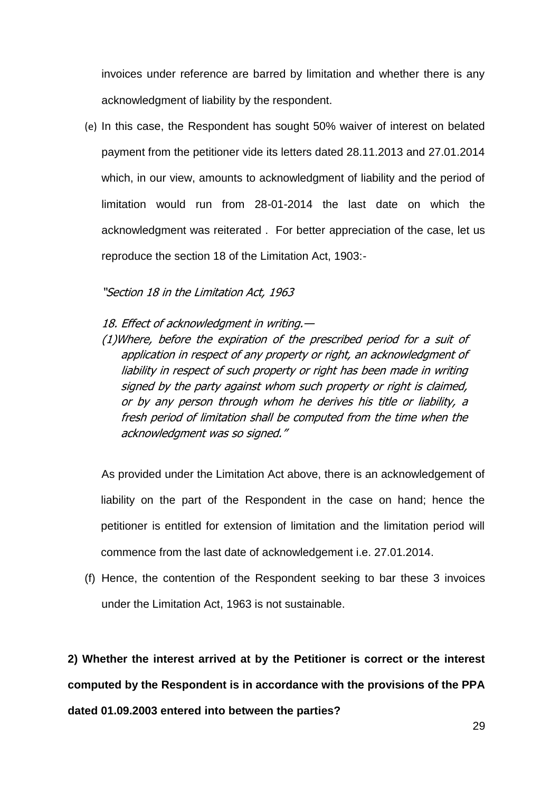invoices under reference are barred by limitation and whether there is any acknowledgment of liability by the respondent.

(e) In this case, the Respondent has sought 50% waiver of interest on belated payment from the petitioner vide its letters dated 28.11.2013 and 27.01.2014 which, in our view, amounts to acknowledgment of liability and the period of limitation would run from 28-01-2014 the last date on which the acknowledgment was reiterated . For better appreciation of the case, let us reproduce the section 18 of the Limitation Act, 1903:-

### "Section 18 in the Limitation Act, 1963

- 18. Effect of acknowledgment in writing.—
- [\(1\)W](https://indiankanoon.org/doc/1529784/)here, before the expiration of the prescribed period for a suit of application in respect of any property or right, an acknowledgment of liability in respect of such property or right has been made in writing signed by the party against whom such property or right is claimed, or by any person through whom he derives his title or liability, a fresh period of limitation shall be computed from the time when the acknowledgment was so signed."

As provided under the Limitation Act above, there is an acknowledgement of liability on the part of the Respondent in the case on hand; hence the petitioner is entitled for extension of limitation and the limitation period will commence from the last date of acknowledgement i.e. 27.01.2014.

(f) Hence, the contention of the Respondent seeking to bar these 3 invoices under the Limitation Act, 1963 is not sustainable.

**2) Whether the interest arrived at by the Petitioner is correct or the interest computed by the Respondent is in accordance with the provisions of the PPA dated 01.09.2003 entered into between the parties?**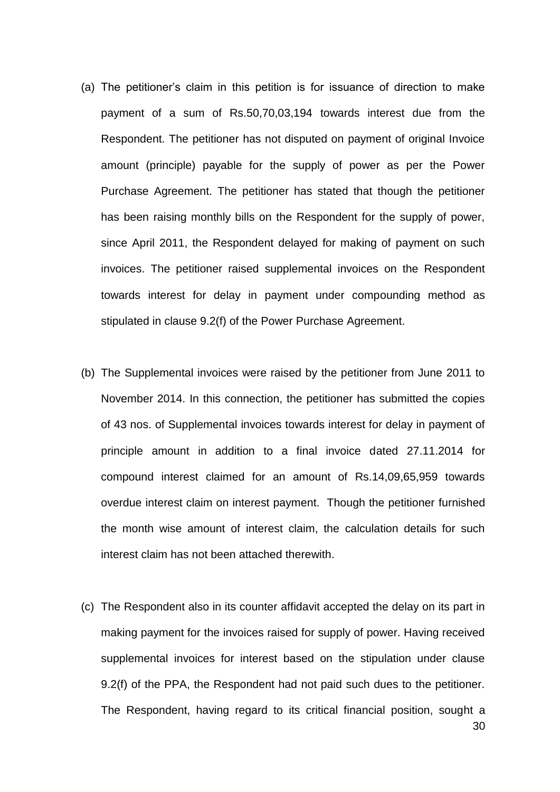- (a) The petitioner's claim in this petition is for issuance of direction to make payment of a sum of Rs.50,70,03,194 towards interest due from the Respondent. The petitioner has not disputed on payment of original Invoice amount (principle) payable for the supply of power as per the Power Purchase Agreement. The petitioner has stated that though the petitioner has been raising monthly bills on the Respondent for the supply of power, since April 2011, the Respondent delayed for making of payment on such invoices. The petitioner raised supplemental invoices on the Respondent towards interest for delay in payment under compounding method as stipulated in clause 9.2(f) of the Power Purchase Agreement.
- (b) The Supplemental invoices were raised by the petitioner from June 2011 to November 2014. In this connection, the petitioner has submitted the copies of 43 nos. of Supplemental invoices towards interest for delay in payment of principle amount in addition to a final invoice dated 27.11.2014 for compound interest claimed for an amount of Rs.14,09,65,959 towards overdue interest claim on interest payment. Though the petitioner furnished the month wise amount of interest claim, the calculation details for such interest claim has not been attached therewith.
- (c) The Respondent also in its counter affidavit accepted the delay on its part in making payment for the invoices raised for supply of power. Having received supplemental invoices for interest based on the stipulation under clause 9.2(f) of the PPA, the Respondent had not paid such dues to the petitioner. The Respondent, having regard to its critical financial position, sought a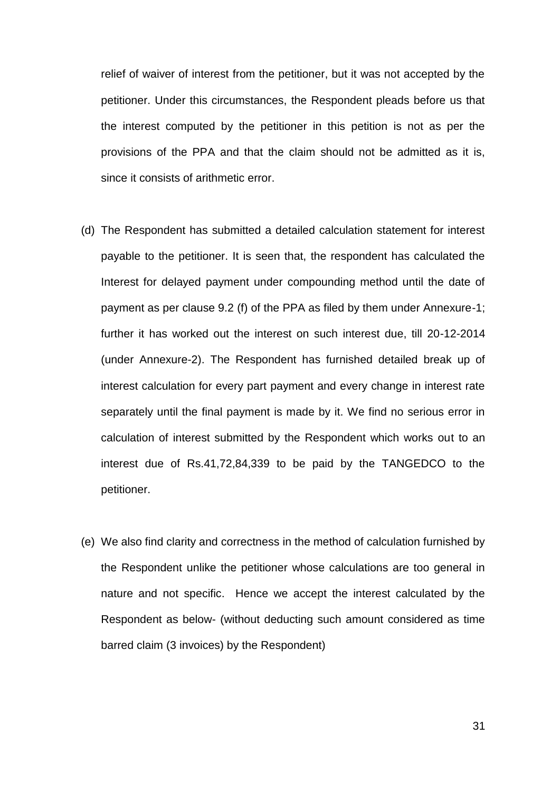relief of waiver of interest from the petitioner, but it was not accepted by the petitioner. Under this circumstances, the Respondent pleads before us that the interest computed by the petitioner in this petition is not as per the provisions of the PPA and that the claim should not be admitted as it is, since it consists of arithmetic error.

- (d) The Respondent has submitted a detailed calculation statement for interest payable to the petitioner. It is seen that, the respondent has calculated the Interest for delayed payment under compounding method until the date of payment as per clause 9.2 (f) of the PPA as filed by them under Annexure-1; further it has worked out the interest on such interest due, till 20-12-2014 (under Annexure-2). The Respondent has furnished detailed break up of interest calculation for every part payment and every change in interest rate separately until the final payment is made by it. We find no serious error in calculation of interest submitted by the Respondent which works out to an interest due of Rs.41,72,84,339 to be paid by the TANGEDCO to the petitioner.
- (e) We also find clarity and correctness in the method of calculation furnished by the Respondent unlike the petitioner whose calculations are too general in nature and not specific. Hence we accept the interest calculated by the Respondent as below- (without deducting such amount considered as time barred claim (3 invoices) by the Respondent)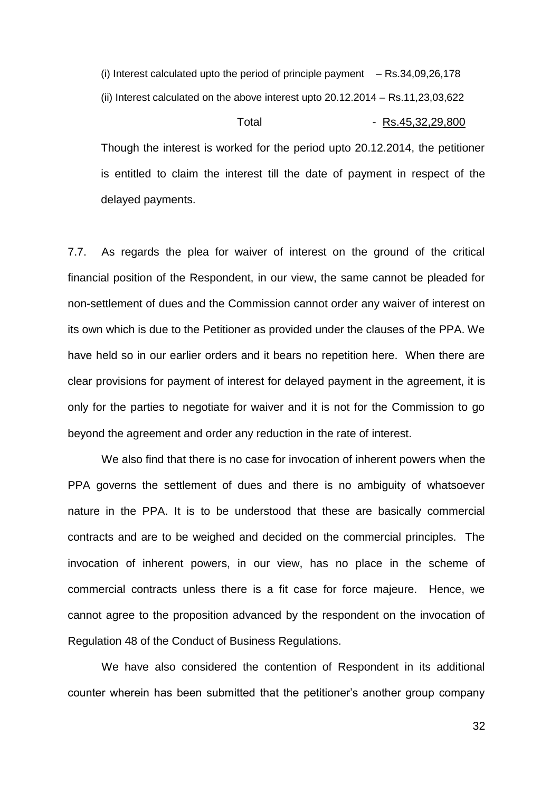(i) Interest calculated upto the period of principle payment  $-$  Rs.34,09,26,178 (ii) Interest calculated on the above interest upto 20.12.2014 – Rs.11,23,03,622 Total - Rs.45,32,29,800

Though the interest is worked for the period upto 20.12.2014, the petitioner is entitled to claim the interest till the date of payment in respect of the delayed payments.

7.7. As regards the plea for waiver of interest on the ground of the critical financial position of the Respondent, in our view, the same cannot be pleaded for non-settlement of dues and the Commission cannot order any waiver of interest on its own which is due to the Petitioner as provided under the clauses of the PPA. We have held so in our earlier orders and it bears no repetition here. When there are clear provisions for payment of interest for delayed payment in the agreement, it is only for the parties to negotiate for waiver and it is not for the Commission to go beyond the agreement and order any reduction in the rate of interest.

We also find that there is no case for invocation of inherent powers when the PPA governs the settlement of dues and there is no ambiguity of whatsoever nature in the PPA. It is to be understood that these are basically commercial contracts and are to be weighed and decided on the commercial principles. The invocation of inherent powers, in our view, has no place in the scheme of commercial contracts unless there is a fit case for force majeure. Hence, we cannot agree to the proposition advanced by the respondent on the invocation of Regulation 48 of the Conduct of Business Regulations.

We have also considered the contention of Respondent in its additional counter wherein has been submitted that the petitioner's another group company